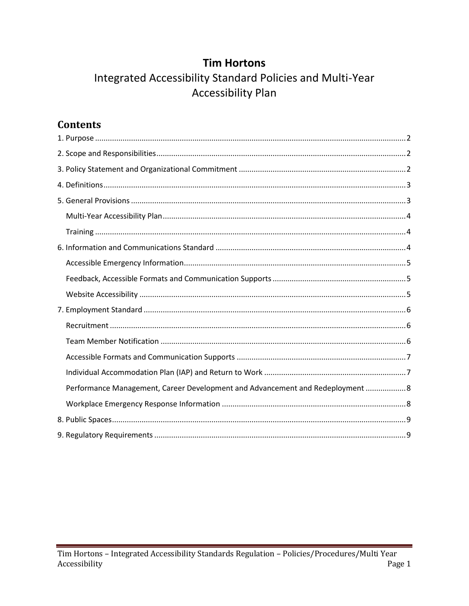## **Tim Hortons**

# Integrated Accessibility Standard Policies and Multi-Year **Accessibility Plan**

# **Contents**

| Performance Management, Career Development and Advancement and Redeployment  8 |
|--------------------------------------------------------------------------------|
|                                                                                |
|                                                                                |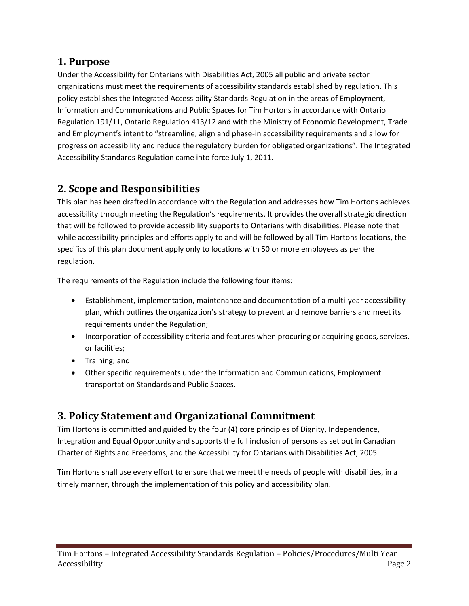## <span id="page-1-0"></span>**1. Purpose**

Under the Accessibility for Ontarians with Disabilities Act, 2005 all public and private sector organizations must meet the requirements of accessibility standards established by regulation. This policy establishes the Integrated Accessibility Standards Regulation in the areas of Employment, Information and Communications and Public Spaces for Tim Hortons in accordance with Ontario Regulation 191/11, Ontario Regulation 413/12 and with the Ministry of Economic Development, Trade and Employment's intent to "streamline, align and phase-in accessibility requirements and allow for progress on accessibility and reduce the regulatory burden for obligated organizations". The Integrated Accessibility Standards Regulation came into force July 1, 2011.

# <span id="page-1-1"></span>**2. Scope and Responsibilities**

This plan has been drafted in accordance with the Regulation and addresses how Tim Hortons achieves accessibility through meeting the Regulation's requirements. It provides the overall strategic direction that will be followed to provide accessibility supports to Ontarians with disabilities. Please note that while accessibility principles and efforts apply to and will be followed by all Tim Hortons locations, the specifics of this plan document apply only to locations with 50 or more employees as per the regulation.

The requirements of the Regulation include the following four items:

- Establishment, implementation, maintenance and documentation of a multi-year accessibility plan, which outlines the organization's strategy to prevent and remove barriers and meet its requirements under the Regulation;
- Incorporation of accessibility criteria and features when procuring or acquiring goods, services, or facilities;
- Training; and
- Other specific requirements under the Information and Communications, Employment transportation Standards and Public Spaces.

# <span id="page-1-2"></span>**3. Policy Statement and Organizational Commitment**

Tim Hortons is committed and guided by the four (4) core principles of Dignity, Independence, Integration and Equal Opportunity and supports the full inclusion of persons as set out in Canadian Charter of Rights and Freedoms, and the Accessibility for Ontarians with Disabilities Act, 2005.

Tim Hortons shall use every effort to ensure that we meet the needs of people with disabilities, in a timely manner, through the implementation of this policy and accessibility plan.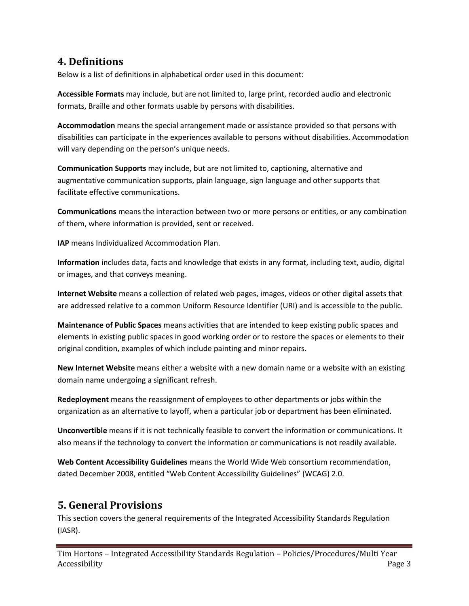### <span id="page-2-0"></span>**4. Definitions**

Below is a list of definitions in alphabetical order used in this document:

**Accessible Formats** may include, but are not limited to, large print, recorded audio and electronic formats, Braille and other formats usable by persons with disabilities.

**Accommodation** means the special arrangement made or assistance provided so that persons with disabilities can participate in the experiences available to persons without disabilities. Accommodation will vary depending on the person's unique needs.

**Communication Supports** may include, but are not limited to, captioning, alternative and augmentative communication supports, plain language, sign language and other supports that facilitate effective communications.

**Communications** means the interaction between two or more persons or entities, or any combination of them, where information is provided, sent or received.

**IAP** means Individualized Accommodation Plan.

**Information** includes data, facts and knowledge that exists in any format, including text, audio, digital or images, and that conveys meaning.

**Internet Website** means a collection of related web pages, images, videos or other digital assets that are addressed relative to a common Uniform Resource Identifier (URI) and is accessible to the public.

**Maintenance of Public Spaces** means activities that are intended to keep existing public spaces and elements in existing public spaces in good working order or to restore the spaces or elements to their original condition, examples of which include painting and minor repairs.

**New Internet Website** means either a website with a new domain name or a website with an existing domain name undergoing a significant refresh.

**Redeployment** means the reassignment of employees to other departments or jobs within the organization as an alternative to layoff, when a particular job or department has been eliminated.

**Unconvertible** means if it is not technically feasible to convert the information or communications. It also means if the technology to convert the information or communications is not readily available.

**Web Content Accessibility Guidelines** means the World Wide Web consortium recommendation, dated December 2008, entitled "Web Content Accessibility Guidelines" (WCAG) 2.0.

## <span id="page-2-1"></span>**5. General Provisions**

This section covers the general requirements of the Integrated Accessibility Standards Regulation (IASR).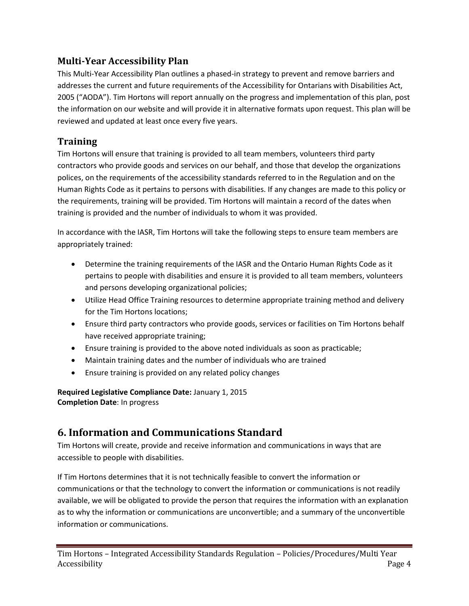### <span id="page-3-0"></span>**Multi-Year Accessibility Plan**

This Multi-Year Accessibility Plan outlines a phased-in strategy to prevent and remove barriers and addresses the current and future requirements of the Accessibility for Ontarians with Disabilities Act, 2005 ("AODA"). Tim Hortons will report annually on the progress and implementation of this plan, post the information on our website and will provide it in alternative formats upon request. This plan will be reviewed and updated at least once every five years.

#### <span id="page-3-1"></span>**Training**

Tim Hortons will ensure that training is provided to all team members, volunteers third party contractors who provide goods and services on our behalf, and those that develop the organizations polices, on the requirements of the accessibility standards referred to in the Regulation and on the Human Rights Code as it pertains to persons with disabilities. If any changes are made to this policy or the requirements, training will be provided. Tim Hortons will maintain a record of the dates when training is provided and the number of individuals to whom it was provided.

In accordance with the IASR, Tim Hortons will take the following steps to ensure team members are appropriately trained:

- Determine the training requirements of the IASR and the Ontario Human Rights Code as it pertains to people with disabilities and ensure it is provided to all team members, volunteers and persons developing organizational policies;
- Utilize Head Office Training resources to determine appropriate training method and delivery for the Tim Hortons locations;
- Ensure third party contractors who provide goods, services or facilities on Tim Hortons behalf have received appropriate training;
- Ensure training is provided to the above noted individuals as soon as practicable;
- Maintain training dates and the number of individuals who are trained
- Ensure training is provided on any related policy changes

**Required Legislative Compliance Date:** January 1, 2015 **Completion Date**: In progress

## <span id="page-3-2"></span>**6. Information and Communications Standard**

Tim Hortons will create, provide and receive information and communications in ways that are accessible to people with disabilities.

If Tim Hortons determines that it is not technically feasible to convert the information or communications or that the technology to convert the information or communications is not readily available, we will be obligated to provide the person that requires the information with an explanation as to why the information or communications are unconvertible; and a summary of the unconvertible information or communications.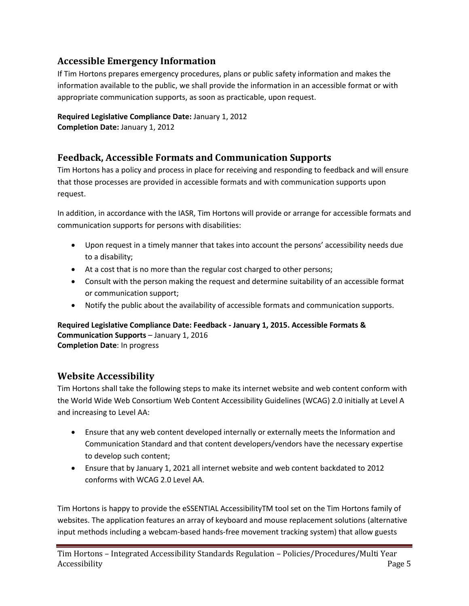### <span id="page-4-0"></span>**Accessible Emergency Information**

If Tim Hortons prepares emergency procedures, plans or public safety information and makes the information available to the public, we shall provide the information in an accessible format or with appropriate communication supports, as soon as practicable, upon request.

**Required Legislative Compliance Date:** January 1, 2012 **Completion Date:** January 1, 2012

### <span id="page-4-1"></span>**Feedback, Accessible Formats and Communication Supports**

Tim Hortons has a policy and process in place for receiving and responding to feedback and will ensure that those processes are provided in accessible formats and with communication supports upon request.

In addition, in accordance with the IASR, Tim Hortons will provide or arrange for accessible formats and communication supports for persons with disabilities:

- Upon request in a timely manner that takes into account the persons' accessibility needs due to a disability;
- At a cost that is no more than the regular cost charged to other persons;
- Consult with the person making the request and determine suitability of an accessible format or communication support;
- Notify the public about the availability of accessible formats and communication supports.

**Required Legislative Compliance Date: Feedback - January 1, 2015. Accessible Formats & Communication Supports** – January 1, 2016 **Completion Date**: In progress

### <span id="page-4-2"></span>**Website Accessibility**

Tim Hortons shall take the following steps to make its internet website and web content conform with the World Wide Web Consortium Web Content Accessibility Guidelines (WCAG) 2.0 initially at Level A and increasing to Level AA:

- Ensure that any web content developed internally or externally meets the Information and Communication Standard and that content developers/vendors have the necessary expertise to develop such content;
- Ensure that by January 1, 2021 all internet website and web content backdated to 2012 conforms with WCAG 2.0 Level AA.

Tim Hortons is happy to provide the eSSENTIAL AccessibilityTM tool set on the Tim Hortons family of websites. The application features an array of keyboard and mouse replacement solutions (alternative input methods including a webcam-based hands-free movement tracking system) that allow guests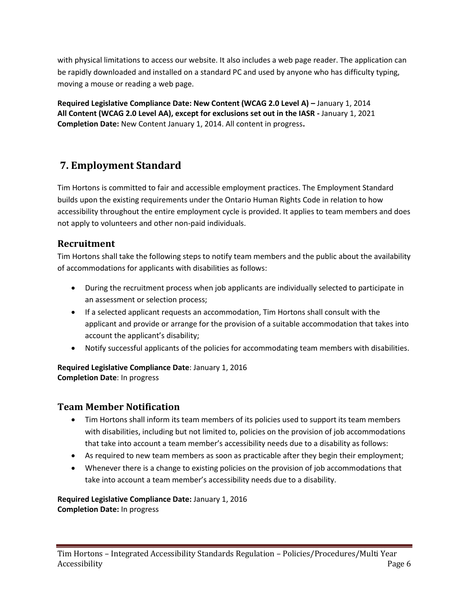with physical limitations to access our website. It also includes a web page reader. The application can be rapidly downloaded and installed on a standard PC and used by anyone who has difficulty typing, moving a mouse or reading a web page.

**Required Legislative Compliance Date: New Content (WCAG 2.0 Level A) –** January 1, 2014 **All Content (WCAG 2.0 Level AA), except for exclusions set out in the IASR -** January 1, 2021 **Completion Date:** New Content January 1, 2014. All content in progress**.** 

## <span id="page-5-0"></span>**7. Employment Standard**

Tim Hortons is committed to fair and accessible employment practices. The Employment Standard builds upon the existing requirements under the Ontario Human Rights Code in relation to how accessibility throughout the entire employment cycle is provided. It applies to team members and does not apply to volunteers and other non-paid individuals.

#### <span id="page-5-1"></span>**Recruitment**

Tim Hortons shall take the following steps to notify team members and the public about the availability of accommodations for applicants with disabilities as follows:

- During the recruitment process when job applicants are individually selected to participate in an assessment or selection process;
- If a selected applicant requests an accommodation, Tim Hortons shall consult with the applicant and provide or arrange for the provision of a suitable accommodation that takes into account the applicant's disability;
- Notify successful applicants of the policies for accommodating team members with disabilities.

**Required Legislative Compliance Date**: January 1, 2016 **Completion Date**: In progress

#### <span id="page-5-2"></span>**Team Member Notification**

- Tim Hortons shall inform its team members of its policies used to support its team members with disabilities, including but not limited to, policies on the provision of job accommodations that take into account a team member's accessibility needs due to a disability as follows:
- As required to new team members as soon as practicable after they begin their employment;
- Whenever there is a change to existing policies on the provision of job accommodations that take into account a team member's accessibility needs due to a disability.

#### **Required Legislative Compliance Date:** January 1, 2016 **Completion Date:** In progress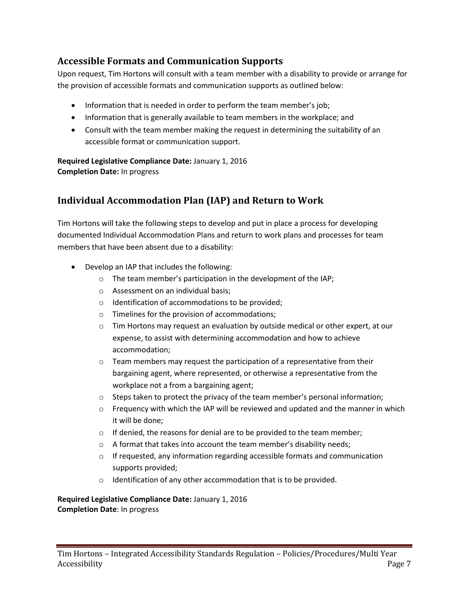### <span id="page-6-0"></span>**Accessible Formats and Communication Supports**

Upon request, Tim Hortons will consult with a team member with a disability to provide or arrange for the provision of accessible formats and communication supports as outlined below:

- Information that is needed in order to perform the team member's job;
- Information that is generally available to team members in the workplace; and
- Consult with the team member making the request in determining the suitability of an accessible format or communication support.

**Required Legislative Compliance Date:** January 1, 2016 **Completion Date:** In progress

### <span id="page-6-1"></span>**Individual Accommodation Plan (IAP) and Return to Work**

Tim Hortons will take the following steps to develop and put in place a process for developing documented Individual Accommodation Plans and return to work plans and processes for team members that have been absent due to a disability:

- Develop an IAP that includes the following:
	- o The team member's participation in the development of the IAP;
	- o Assessment on an individual basis;
	- o Identification of accommodations to be provided;
	- o Timelines for the provision of accommodations;
	- o Tim Hortons may request an evaluation by outside medical or other expert, at our expense, to assist with determining accommodation and how to achieve accommodation;
	- o Team members may request the participation of a representative from their bargaining agent, where represented, or otherwise a representative from the workplace not a from a bargaining agent;
	- o Steps taken to protect the privacy of the team member's personal information;
	- $\circ$  Frequency with which the IAP will be reviewed and updated and the manner in which it will be done;
	- $\circ$  If denied, the reasons for denial are to be provided to the team member;
	- $\circ$  A format that takes into account the team member's disability needs;
	- $\circ$  If requested, any information regarding accessible formats and communication supports provided;
	- o Identification of any other accommodation that is to be provided.

**Required Legislative Compliance Date:** January 1, 2016 **Completion Date**: In progress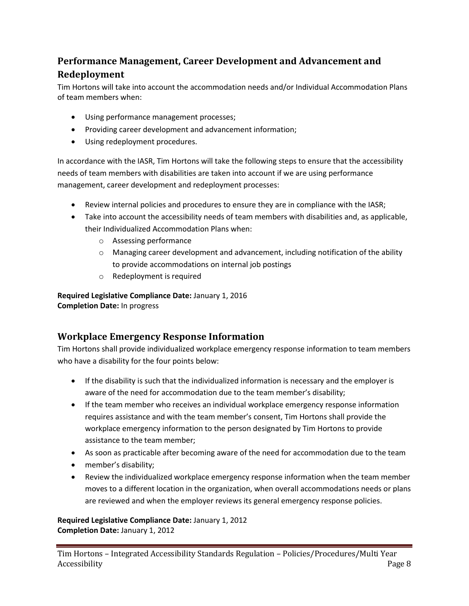## <span id="page-7-0"></span>**Performance Management, Career Development and Advancement and Redeployment**

Tim Hortons will take into account the accommodation needs and/or Individual Accommodation Plans of team members when:

- Using performance management processes;
- Providing career development and advancement information;
- Using redeployment procedures.

In accordance with the IASR, Tim Hortons will take the following steps to ensure that the accessibility needs of team members with disabilities are taken into account if we are using performance management, career development and redeployment processes:

- Review internal policies and procedures to ensure they are in compliance with the IASR;
- Take into account the accessibility needs of team members with disabilities and, as applicable, their Individualized Accommodation Plans when:
	- o Assessing performance
	- o Managing career development and advancement, including notification of the ability to provide accommodations on internal job postings
	- o Redeployment is required

**Required Legislative Compliance Date:** January 1, 2016 **Completion Date:** In progress

#### <span id="page-7-1"></span>**Workplace Emergency Response Information**

Tim Hortons shall provide individualized workplace emergency response information to team members who have a disability for the four points below:

- If the disability is such that the individualized information is necessary and the employer is aware of the need for accommodation due to the team member's disability;
- If the team member who receives an individual workplace emergency response information requires assistance and with the team member's consent, Tim Hortons shall provide the workplace emergency information to the person designated by Tim Hortons to provide assistance to the team member;
- As soon as practicable after becoming aware of the need for accommodation due to the team
- member's disability;
- Review the individualized workplace emergency response information when the team member moves to a different location in the organization, when overall accommodations needs or plans are reviewed and when the employer reviews its general emergency response policies.

**Required Legislative Compliance Date:** January 1, 2012 **Completion Date:** January 1, 2012